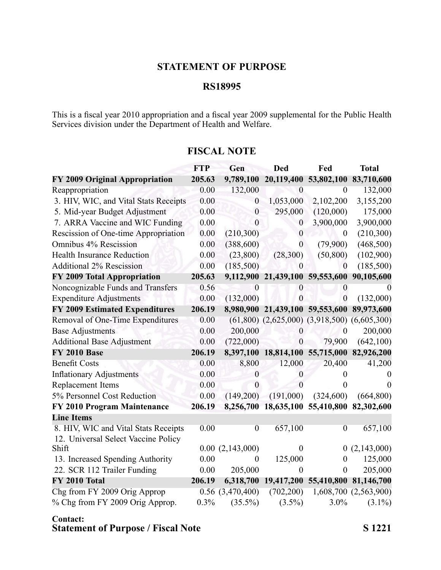## **STATEMENT OF PURPOSE**

### **RS18995**

This is <sup>a</sup> fiscal year 2010 appropriation and <sup>a</sup> fiscal year 2009 supplemental for the Public Health Services division under the Department of Health and Welfare.

# **FTP Gen Ded Fed Total FY 2009 Original Appropriation 205.63 9,789,100 20,119,400 53,802,100 83,710,600** Reappropriation 0.00 132,000 0 0 132,000 3. HIV, WIC, and Vital Stats Receipts 0.00 0 1,053,000 2,102,200 3,155,200 5. Mid-year Budget Adjustment 0.00 0 295,000 (120,000) 175,000 7. ARRA Vaccine and WIC Funding 0.00 0 0 3,900,000 3,900,000 Rescission of One-time Appropriation  $0.00$   $(210,300)$   $0$   $0$   $(210,300)$ Omnibus 4% Rescission 0.00 (388,600) 0 (79,900) (468,500) Health Insurance Reduction 0.00 (23,800) (28,300) (50,800) (102,900) Additional 2% Rescission 0.00 (185,500) 0 (185,500) **FY 2009 Total Appropriation 205.63 9,112,900 21,439,100 59,553,600 90,105,600** Noncognizable Funds and Transfers 0.56 0 0 0 0 Expenditure Adjustments 0.00 (132,000) 0 0 (132,000) **FY 2009 Estimated Expenditures 206.19 8,980,900 21,439,100 59,553,600 89,973,600** Removal of One-Time Expenditures 0.00 (61,800) (2,625,000) (3,918,500) (6,605,300) Base Adjustments 0.00 200,000 0 0 200,000 Additional Base Adjustment 0.00 (722,000) 0 79,900 (642,100) **FY 2010 Base 206.19 8,397,100 18,814,100 55,715,000 82,926,200** Benefit Costs 0.00 8,800 12,000 20,400 41,200 Inflationary Adjustments 0.00 0 0 0 0 Replacement Items  $0.00$  0 0 0 0 0 5% Personnel Cost Reduction 0.00 (149,200) (191,000) (324,600) (664,800) **FY 2010 Program Maintenance 206.19 8,256,700 18,635,100 55,410,800 82,302,600 Line Items** 8. HIV, WIC and Vital Stats Receipts 0.00 0 657,100 0 657,100 12. Universal Select Vaccine Policy Shift 0.00 (2,143,000) 0 0 (2,143,000) 13. Increased Spending Authority 0.00 0 125,000 0 125,000 22. SCR 112 Trailer Funding 0.00 205,000 0 0 205,000 **FY 2010 Total 206.19 6,318,700 19,417,200 55,410,800 81,146,700** Chg from FY 2009 Orig Approp  $0.56$   $(3,470,400)$   $(702,200)$   $1,608,700$   $(2,563,900)$ % Chg from FY 2009 Orig Approp. 0.3% (35.5%) (3.5%) 3.0% (3.1%)

#### **FISCAL NOTE**

#### **Contact: Statement of Purpose / Fiscal Note S 1221**